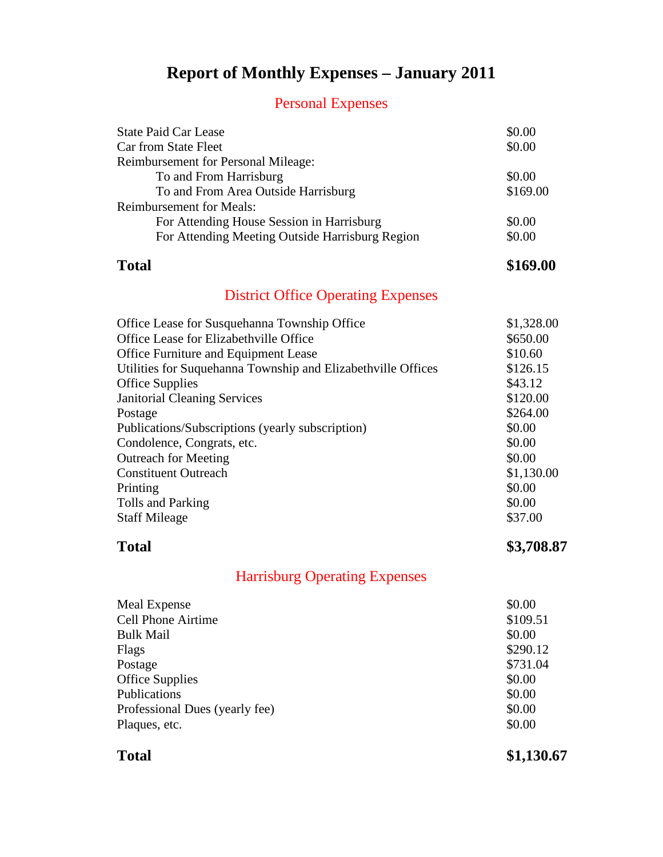### **Report of Monthly Expenses – January 2011**

### Personal Expenses

| \$0.00   |
|----------|
| \$0.00   |
|          |
| \$0.00   |
| \$169.00 |
|          |
| \$0.00   |
| \$0.00   |
|          |

### **Total \$169.00**

### District Office Operating Expenses

| Office Lease for Susquehanna Township Office                 | \$1,328.00 |
|--------------------------------------------------------------|------------|
| Office Lease for Elizabethville Office                       | \$650.00   |
| \$10.60<br>Office Furniture and Equipment Lease              |            |
| Utilities for Suquehanna Township and Elizabethville Offices | \$126.15   |
| \$43.12<br><b>Office Supplies</b>                            |            |
| <b>Janitorial Cleaning Services</b>                          | \$120.00   |
| Postage                                                      | \$264.00   |
| \$0.00<br>Publications/Subscriptions (yearly subscription)   |            |
| \$0.00<br>Condolence, Congrats, etc.                         |            |
| \$0.00<br><b>Outreach for Meeting</b>                        |            |
| <b>Constituent Outreach</b>                                  | \$1,130.00 |
| \$0.00<br>Printing                                           |            |
| \$0.00<br>Tolls and Parking                                  |            |
| \$37.00<br><b>Staff Mileage</b>                              |            |

**Total \$3,708.87**

### Harrisburg Operating Expenses

| Meal Expense                   | \$0.00   |
|--------------------------------|----------|
| <b>Cell Phone Airtime</b>      | \$109.51 |
| <b>Bulk Mail</b>               | \$0.00   |
| Flags                          | \$290.12 |
| Postage                        | \$731.04 |
| <b>Office Supplies</b>         | \$0.00   |
| Publications                   | \$0.00   |
| Professional Dues (yearly fee) | \$0.00   |
| Plaques, etc.                  | \$0.00   |
|                                |          |

**Total \$1,130.67**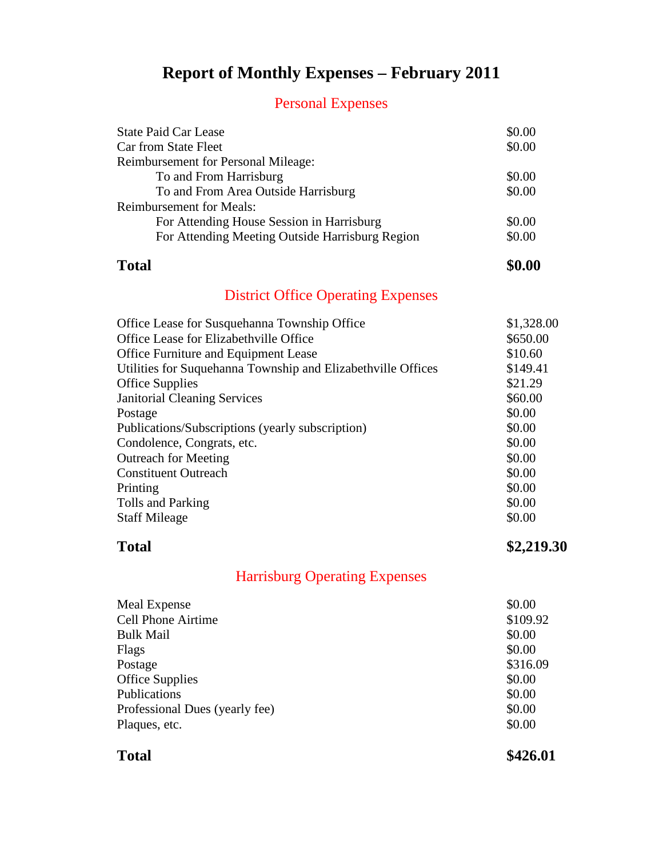### **Report of Monthly Expenses – February 2011**

### Personal Expenses

| <b>State Paid Car Lease</b>                     | \$0.00 |
|-------------------------------------------------|--------|
| Car from State Fleet                            | \$0.00 |
| <b>Reimbursement for Personal Mileage:</b>      |        |
| To and From Harrisburg                          | \$0.00 |
| To and From Area Outside Harrisburg             | \$0.00 |
| <b>Reimbursement for Meals:</b>                 |        |
| For Attending House Session in Harrisburg       | \$0.00 |
| For Attending Meeting Outside Harrisburg Region | \$0.00 |
|                                                 |        |

**Total \$0.00**

### District Office Operating Expenses

| \$1,328.00 |
|------------|
| \$650.00   |
| \$10.60    |
| \$149.41   |
| \$21.29    |
| \$60.00    |
| \$0.00     |
| \$0.00     |
| \$0.00     |
| \$0.00     |
| \$0.00     |
| \$0.00     |
| \$0.00     |
| \$0.00     |
|            |

**Total \$2,219.30**

### Harrisburg Operating Expenses

| Meal Expense                   | \$0.00   |
|--------------------------------|----------|
| <b>Cell Phone Airtime</b>      | \$109.92 |
| <b>Bulk Mail</b>               | \$0.00   |
| Flags                          | \$0.00   |
| Postage                        | \$316.09 |
| <b>Office Supplies</b>         | \$0.00   |
| Publications                   | \$0.00   |
| Professional Dues (yearly fee) | \$0.00   |
| Plaques, etc.                  | \$0.00   |
|                                |          |

**Total \$426.01**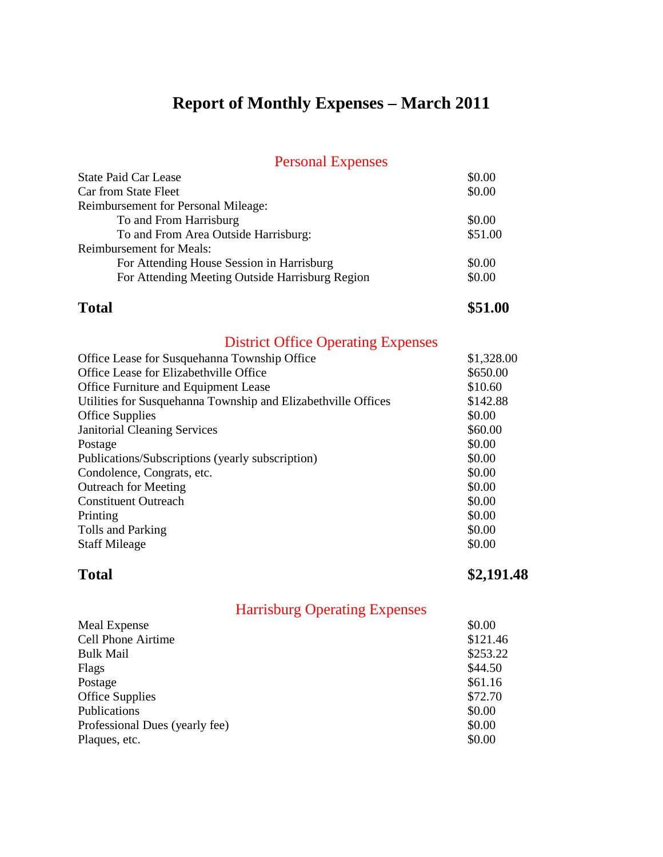# **Report of Monthly Expenses – March 2011**

### Personal Expenses

| I CHOOTHEL LAPOIDOU                             |         |
|-------------------------------------------------|---------|
| <b>State Paid Car Lease</b>                     | \$0.00  |
| Car from State Fleet                            | \$0.00  |
| Reimbursement for Personal Mileage:             |         |
| To and From Harrisburg                          | \$0.00  |
| To and From Area Outside Harrisburg:            | \$51.00 |
| <b>Reimbursement for Meals:</b>                 |         |
| For Attending House Session in Harrisburg       | \$0.00  |
| For Attending Meeting Outside Harrisburg Region | \$0.00  |
|                                                 |         |

**Total \$51.00** 

### District Office Operating Expenses

| Office Lease for Susquehanna Township Office                  | \$1,328.00 |
|---------------------------------------------------------------|------------|
| Office Lease for Elizabethville Office                        | \$650.00   |
| Office Furniture and Equipment Lease                          | \$10.60    |
| Utilities for Susquehanna Township and Elizabethville Offices | \$142.88   |
| <b>Office Supplies</b>                                        | \$0.00     |
| <b>Janitorial Cleaning Services</b>                           | \$60.00    |
| Postage                                                       | \$0.00     |
| Publications/Subscriptions (yearly subscription)              | \$0.00     |
| Condolence, Congrats, etc.                                    | \$0.00     |
| <b>Outreach for Meeting</b>                                   | \$0.00     |
| <b>Constituent Outreach</b>                                   | \$0.00     |
| Printing                                                      | \$0.00     |
| Tolls and Parking                                             | \$0.00     |
| <b>Staff Mileage</b>                                          | \$0.00     |
|                                                               |            |

**Total \$2,191.48**

| Meal Expense                   | \$0.00   |
|--------------------------------|----------|
| <b>Cell Phone Airtime</b>      | \$121.46 |
| <b>Bulk Mail</b>               | \$253.22 |
| Flags                          | \$44.50  |
| Postage                        | \$61.16  |
| <b>Office Supplies</b>         | \$72.70  |
| Publications                   | \$0.00   |
| Professional Dues (yearly fee) | \$0.00   |
| Plaques, etc.                  | \$0.00   |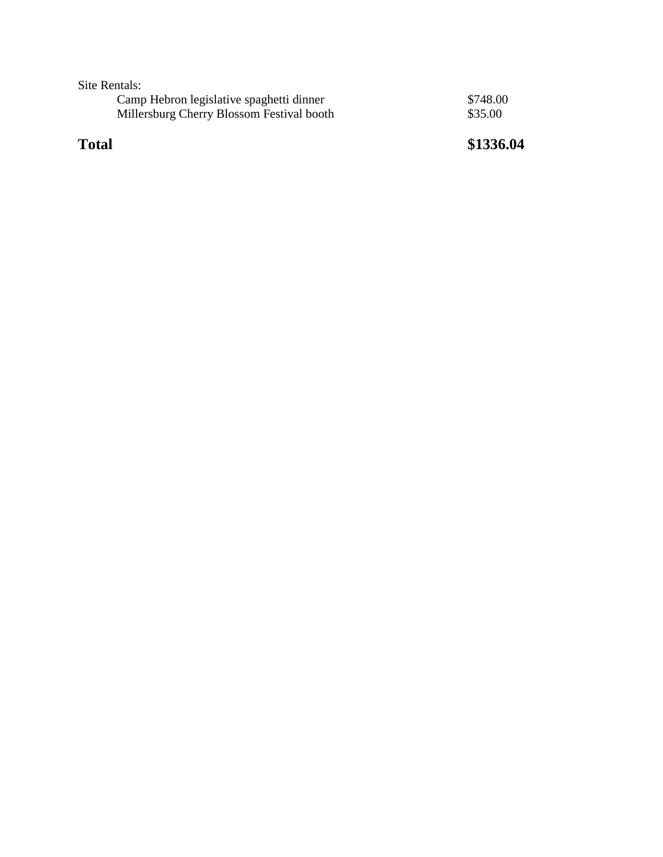Site Rentals:

| Camp Hebron legislative spaghetti dinner  | \$748.00 |
|-------------------------------------------|----------|
| Millersburg Cherry Blossom Festival booth | \$35.00  |

**Total \$1336.04**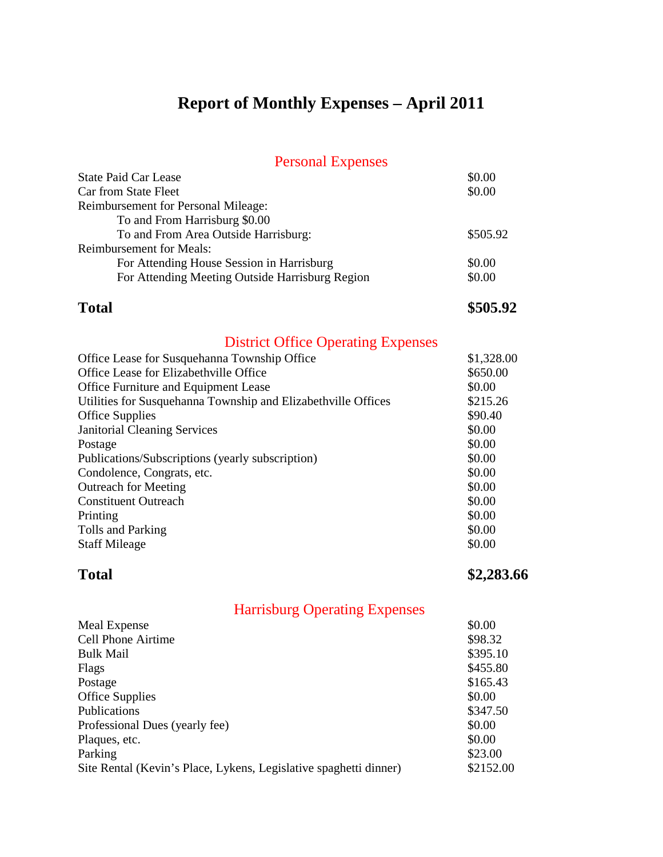# **Report of Monthly Expenses – April 2011**

### Personal Expenses

| <b>State Paid Car Lease</b>                                   | \$0.00     |
|---------------------------------------------------------------|------------|
| Car from State Fleet                                          | \$0.00     |
| Reimbursement for Personal Mileage:                           |            |
| To and From Harrisburg \$0.00                                 |            |
| To and From Area Outside Harrisburg:                          | \$505.92   |
| <b>Reimbursement for Meals:</b>                               |            |
| For Attending House Session in Harrisburg                     | \$0.00     |
| For Attending Meeting Outside Harrisburg Region               | \$0.00     |
| <b>Total</b>                                                  | \$505.92   |
| <b>District Office Operating Expenses</b>                     |            |
| Office Lease for Susquehanna Township Office                  | \$1,328.00 |
| Office Lease for Elizabethville Office                        | \$650.00   |
| Office Furniture and Equipment Lease                          | \$0.00     |
| Utilities for Susquehanna Township and Elizabethville Offices | \$215.26   |
| <b>Office Supplies</b>                                        | \$90.40    |
| <b>Janitorial Cleaning Services</b>                           | \$0.00     |
| Postage                                                       | \$0.00     |
| Publications/Subscriptions (yearly subscription)              | \$0.00     |
| Condolence, Congrats, etc.                                    | \$0.00     |

| \$0.00 |
|--------|
| \$0.00 |
| \$0.00 |
| \$0.00 |
| \$0.00 |
|        |

### **Total \$2,283.66**

| <b>Meal Expense</b>                                               | \$0.00    |
|-------------------------------------------------------------------|-----------|
| <b>Cell Phone Airtime</b>                                         | \$98.32   |
| <b>Bulk Mail</b>                                                  | \$395.10  |
| Flags                                                             | \$455.80  |
| Postage                                                           | \$165.43  |
| <b>Office Supplies</b>                                            | \$0.00    |
| Publications                                                      | \$347.50  |
| Professional Dues (yearly fee)                                    | \$0.00    |
| Plaques, etc.                                                     | \$0.00    |
| Parking                                                           | \$23.00   |
| Site Rental (Kevin's Place, Lykens, Legislative spaghetti dinner) | \$2152.00 |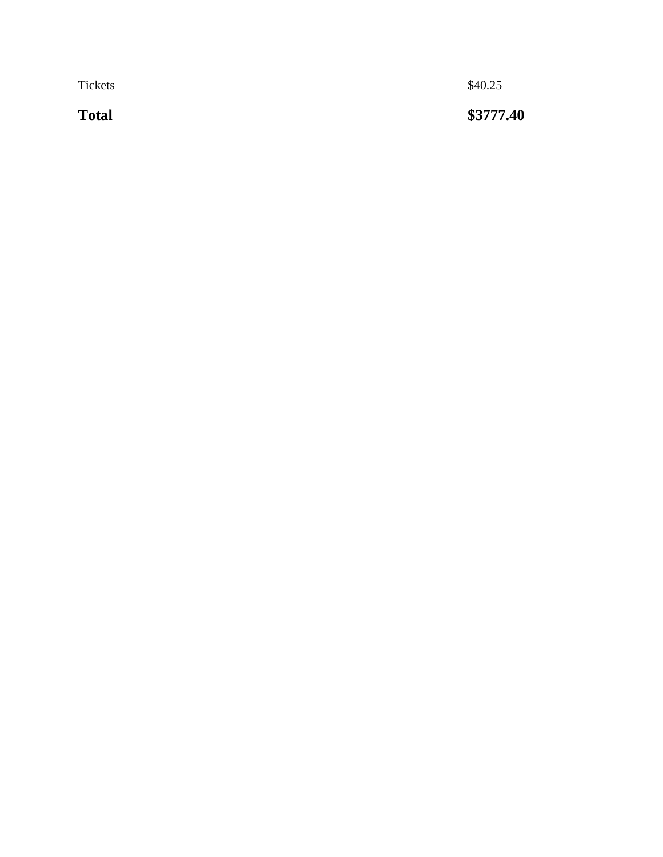Tickets  $\$40.25$ 

**Total** 

**\$ 3777.40**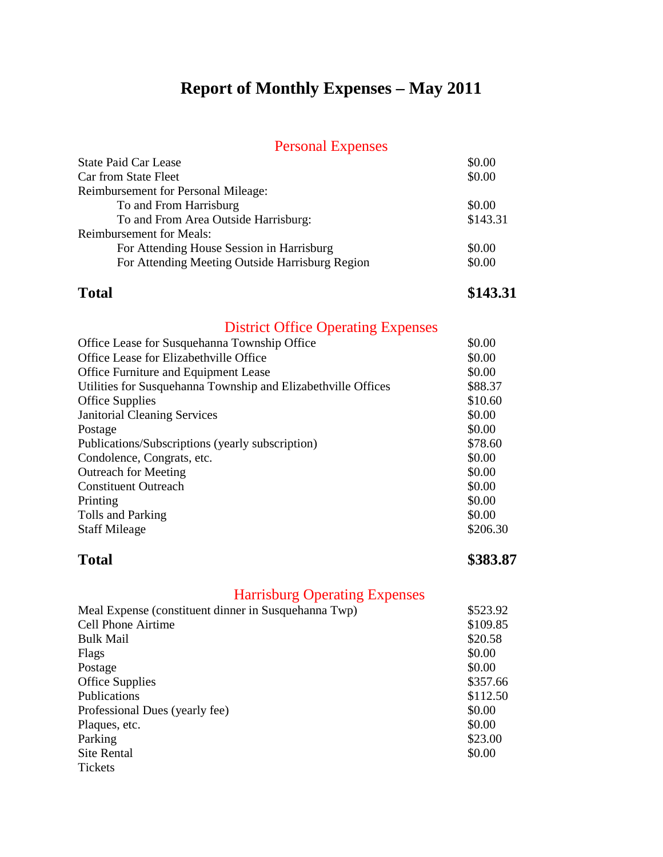### **Report of Monthly Expenses – May 2011**

### Personal Expenses

| <b>State Paid Car Lease</b>                     | \$0.00   |
|-------------------------------------------------|----------|
| Car from State Fleet                            | \$0.00   |
| <b>Reimbursement for Personal Mileage:</b>      |          |
| To and From Harrisburg                          | \$0.00   |
| To and From Area Outside Harrisburg:            | \$143.31 |
| <b>Reimbursement for Meals:</b>                 |          |
| For Attending House Session in Harrisburg       | \$0.00   |
| For Attending Meeting Outside Harrisburg Region | \$0.00   |

**Total \$143.31**

### District Office Operating Expenses

| Office Lease for Susquehanna Township Office                  | \$0.00   |
|---------------------------------------------------------------|----------|
| Office Lease for Elizabethville Office                        | \$0.00   |
| Office Furniture and Equipment Lease                          | \$0.00   |
| Utilities for Susquehanna Township and Elizabethville Offices | \$88.37  |
| <b>Office Supplies</b>                                        | \$10.60  |
| <b>Janitorial Cleaning Services</b>                           | \$0.00   |
| Postage                                                       | \$0.00   |
| Publications/Subscriptions (yearly subscription)              | \$78.60  |
| Condolence, Congrats, etc.                                    | \$0.00   |
| <b>Outreach for Meeting</b>                                   | \$0.00   |
| <b>Constituent Outreach</b>                                   | \$0.00   |
| Printing                                                      | \$0.00   |
| Tolls and Parking                                             | \$0.00   |
| <b>Staff Mileage</b>                                          | \$206.30 |
|                                                               |          |

**Total \$383.87**

| \$523.92 |
|----------|
| \$109.85 |
| \$20.58  |
| \$0.00   |
| \$0.00   |
| \$357.66 |
| \$112.50 |
| \$0.00   |
| \$0.00   |
| \$23.00  |
| \$0.00   |
|          |
|          |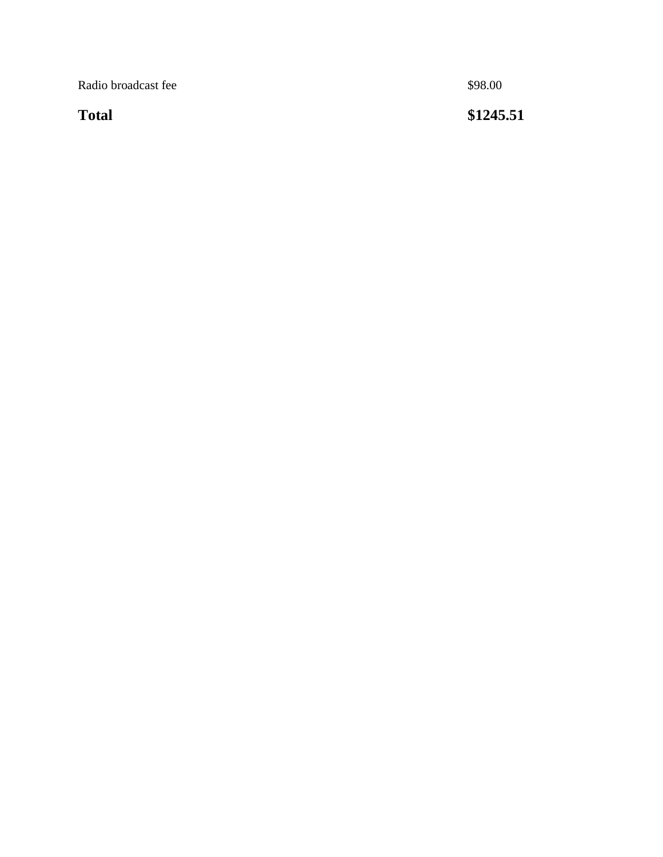Radio broadcast fee \$98.00

**Total** 

**\$1245.51**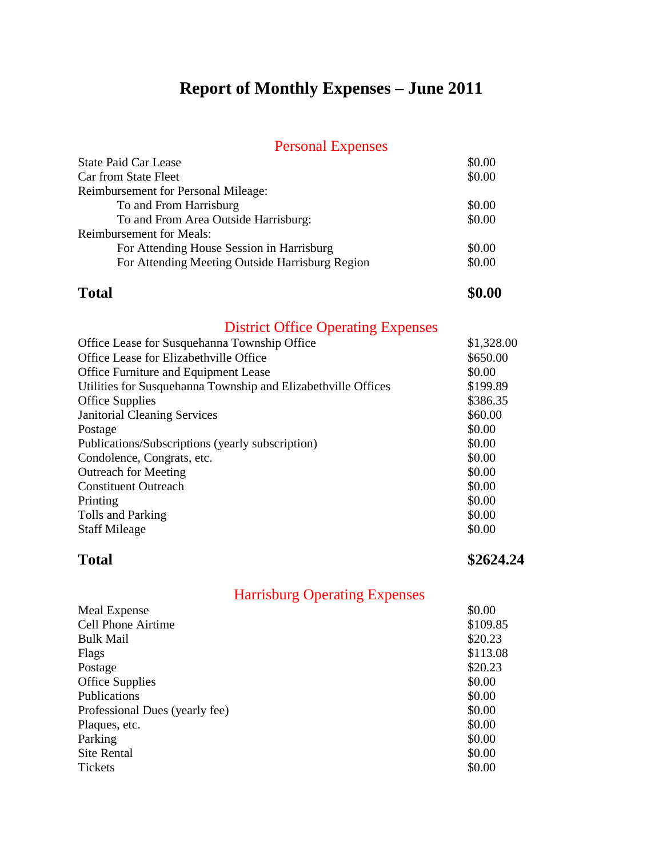### **Report of Monthly Expenses – June 2011**

### Personal Expenses

| <b>State Paid Car Lease</b>                     | \$0.00 |
|-------------------------------------------------|--------|
| Car from State Fleet                            | \$0.00 |
| <b>Reimbursement for Personal Mileage:</b>      |        |
| To and From Harrisburg                          | \$0.00 |
| To and From Area Outside Harrisburg:            | \$0.00 |
| <b>Reimbursement for Meals:</b>                 |        |
| For Attending House Session in Harrisburg       | \$0.00 |
| For Attending Meeting Outside Harrisburg Region | \$0.00 |

### **Total \$0.00**

### District Office Operating Expenses

| Office Lease for Susquehanna Township Office                  | \$1,328.00 |
|---------------------------------------------------------------|------------|
| Office Lease for Elizabethville Office                        | \$650.00   |
| Office Furniture and Equipment Lease                          | \$0.00     |
| Utilities for Susquehanna Township and Elizabethville Offices | \$199.89   |
| <b>Office Supplies</b>                                        | \$386.35   |
| <b>Janitorial Cleaning Services</b>                           | \$60.00    |
| Postage                                                       | \$0.00     |
| Publications/Subscriptions (yearly subscription)              | \$0.00     |
| Condolence, Congrats, etc.                                    | \$0.00     |
| <b>Outreach for Meeting</b>                                   | \$0.00     |
| <b>Constituent Outreach</b>                                   | \$0.00     |
| Printing                                                      | \$0.00     |
| Tolls and Parking                                             | \$0.00     |
| <b>Staff Mileage</b>                                          | \$0.00     |

**Total \$2624.24**

| \$0.00   |
|----------|
| \$109.85 |
| \$20.23  |
| \$113.08 |
| \$20.23  |
| \$0.00   |
| \$0.00   |
| \$0.00   |
| \$0.00   |
| \$0.00   |
| \$0.00   |
| \$0.00   |
|          |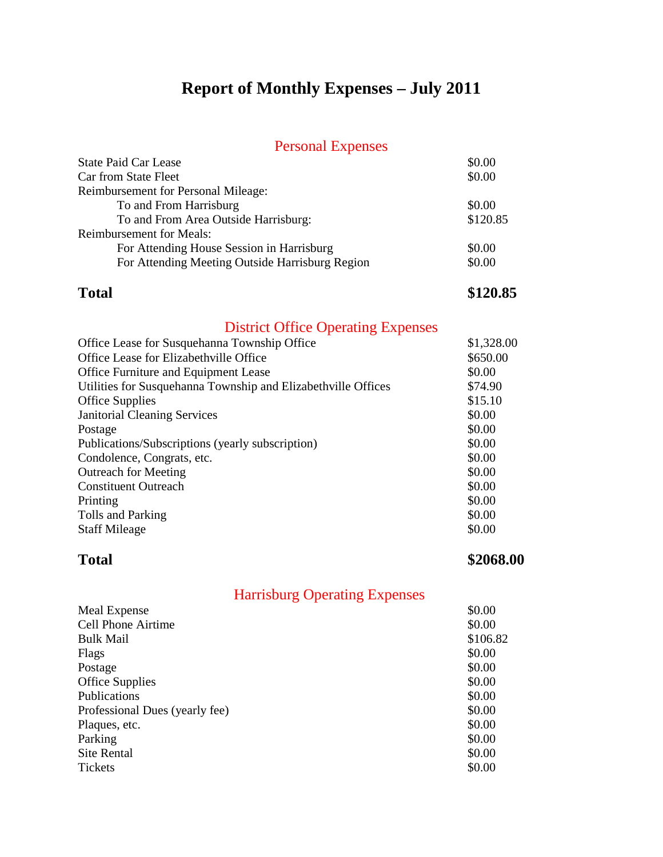### **Report of Monthly Expenses – July 2011**

### Personal Expenses

| <b>State Paid Car Lease</b>                     | \$0.00   |
|-------------------------------------------------|----------|
| Car from State Fleet                            | \$0.00   |
| Reimbursement for Personal Mileage:             |          |
| To and From Harrisburg                          | \$0.00   |
| To and From Area Outside Harrisburg:            | \$120.85 |
| <b>Reimbursement for Meals:</b>                 |          |
| For Attending House Session in Harrisburg       | \$0.00   |
| For Attending Meeting Outside Harrisburg Region | \$0.00   |

**Total \$120.85**

### District Office Operating Expenses

| Office Lease for Susquehanna Township Office                  | \$1,328.00 |
|---------------------------------------------------------------|------------|
| Office Lease for Elizabethville Office                        | \$650.00   |
| Office Furniture and Equipment Lease                          | \$0.00     |
| Utilities for Susquehanna Township and Elizabethville Offices | \$74.90    |
| <b>Office Supplies</b>                                        | \$15.10    |
| <b>Janitorial Cleaning Services</b>                           | \$0.00     |
| Postage                                                       | \$0.00     |
| Publications/Subscriptions (yearly subscription)              | \$0.00     |
| Condolence, Congrats, etc.                                    | \$0.00     |
| <b>Outreach for Meeting</b>                                   | \$0.00     |
| <b>Constituent Outreach</b>                                   | \$0.00     |
| Printing                                                      | \$0.00     |
| Tolls and Parking                                             | \$0.00     |
| <b>Staff Mileage</b>                                          | \$0.00     |

**Total \$2068.00**

| \$0.00   |
|----------|
| \$0.00   |
| \$106.82 |
| \$0.00   |
| \$0.00   |
| \$0.00   |
| \$0.00   |
| \$0.00   |
| \$0.00   |
| \$0.00   |
| \$0.00   |
| \$0.00   |
|          |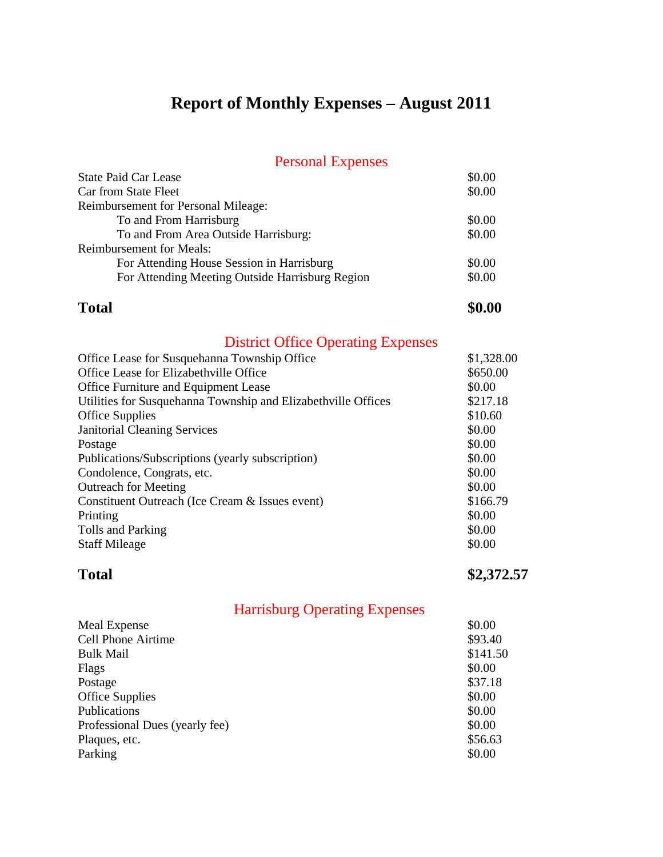# **Report of Monthly Expenses – August 2011**

| <b>Personal Expenses</b>                        |        |
|-------------------------------------------------|--------|
| <b>State Paid Car Lease</b>                     | \$0.00 |
| Car from State Fleet                            | \$0.00 |
| <b>Reimbursement for Personal Mileage:</b>      |        |
| To and From Harrisburg                          | \$0.00 |
| To and From Area Outside Harrisburg:            | \$0.00 |
| <b>Reimbursement for Meals:</b>                 |        |
| For Attending House Session in Harrisburg       | \$0.00 |
| For Attending Meeting Outside Harrisburg Region | \$0.00 |

### **Total \$0.00**

### District Office Operating Expenses

| Office Lease for Susquehanna Township Office                  | \$1,328.00 |
|---------------------------------------------------------------|------------|
| Office Lease for Elizabethville Office                        | \$650.00   |
| Office Furniture and Equipment Lease                          | \$0.00     |
| Utilities for Susquehanna Township and Elizabethville Offices | \$217.18   |
| <b>Office Supplies</b>                                        | \$10.60    |
| <b>Janitorial Cleaning Services</b>                           | \$0.00     |
| Postage                                                       | \$0.00     |
| Publications/Subscriptions (yearly subscription)              | \$0.00     |
| Condolence, Congrats, etc.                                    | \$0.00     |
| <b>Outreach for Meeting</b>                                   | \$0.00     |
| Constituent Outreach (Ice Cream & Issues event)               | \$166.79   |
| Printing                                                      | \$0.00     |
| Tolls and Parking                                             | \$0.00     |
| <b>Staff Mileage</b>                                          | \$0.00     |

Total \$2,372.57

| <b>Meal Expense</b>            | \$0.00   |
|--------------------------------|----------|
| <b>Cell Phone Airtime</b>      | \$93.40  |
| <b>Bulk Mail</b>               | \$141.50 |
| Flags                          | \$0.00   |
| Postage                        | \$37.18  |
| <b>Office Supplies</b>         | \$0.00   |
| Publications                   | \$0.00   |
| Professional Dues (yearly fee) | \$0.00   |
| Plaques, etc.                  | \$56.63  |
| Parking                        | \$0.00   |
|                                |          |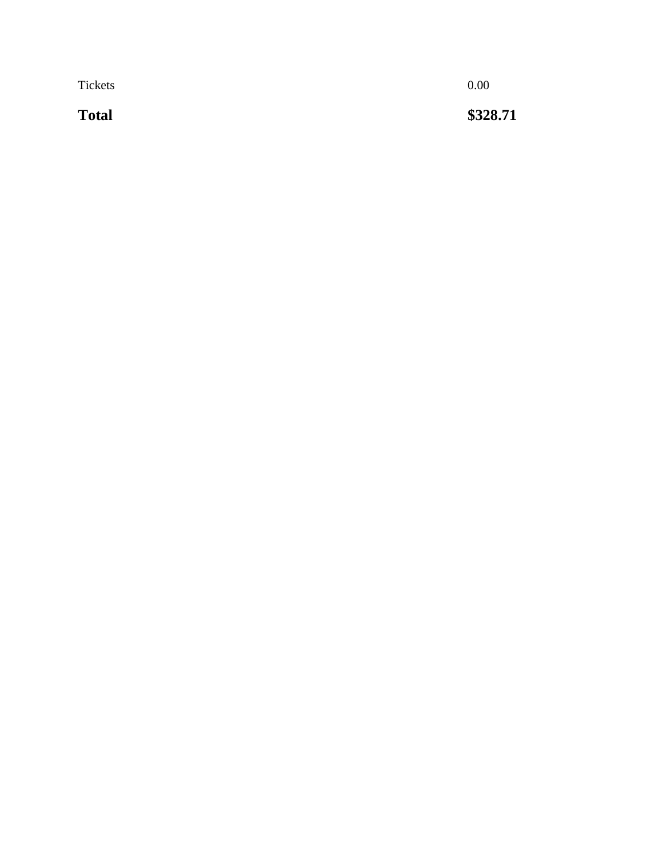Tickets 0.00

**Total** 

**\$328.71**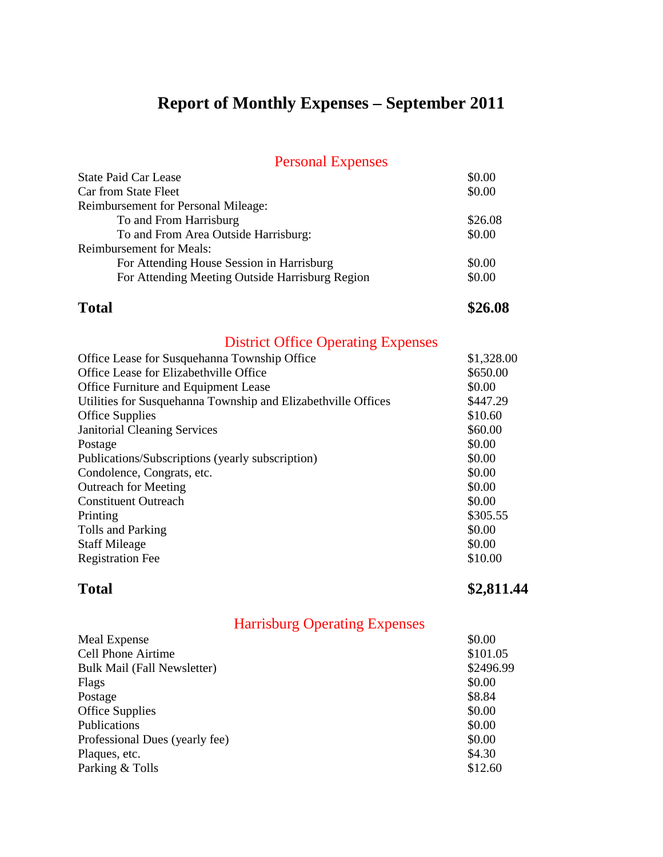# **Report of Monthly Expenses – September 2011**

| \$0.00     |
|------------|
| \$0.00     |
|            |
| \$26.08    |
| \$0.00     |
|            |
| \$0.00     |
| \$0.00     |
| \$26.08    |
|            |
| \$1,328.00 |
| \$650.00   |
| \$0.00     |
| \$447.29   |
| \$10.60    |
| \$60.00    |
| \$0.00     |
| \$0.00     |
| \$0.00     |
| \$0.00     |
| \$0.00     |
| \$305.55   |
| \$0.00     |
| \$0.00     |
| \$10.00    |
|            |

**Total \$2,811.44** 

|  | <b>Harrisburg Operating Expenses</b> |  |
|--|--------------------------------------|--|
|  |                                      |  |

| \$0.00    |
|-----------|
| \$101.05  |
| \$2496.99 |
| \$0.00    |
| \$8.84    |
| \$0.00    |
| \$0.00    |
| \$0.00    |
| \$4.30    |
| \$12.60   |
|           |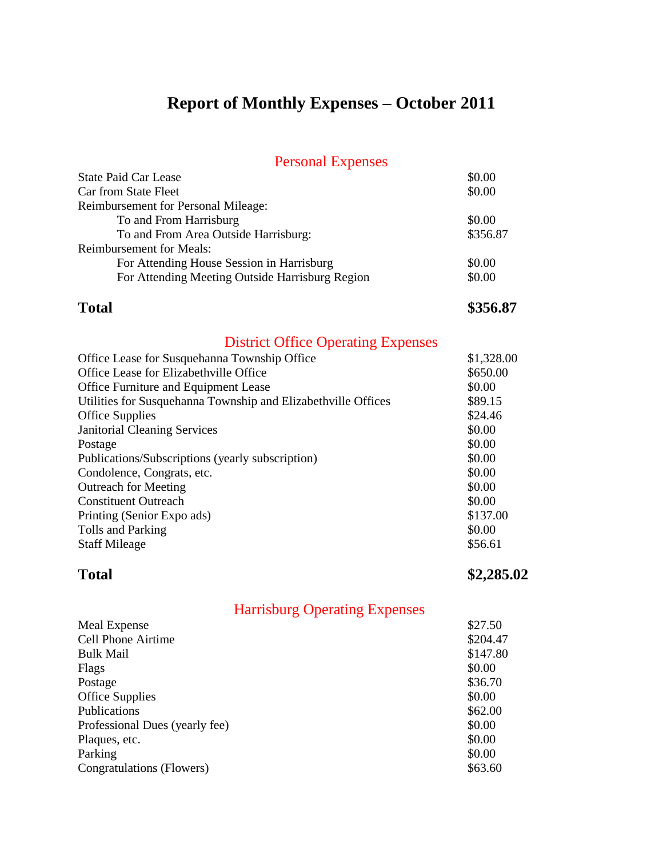# **Report of Monthly Expenses – October 2011**

| <b>Personal Expenses</b> |  |
|--------------------------|--|
|--------------------------|--|

| <b>State Paid Car Lease</b>                     | \$0.00     |
|-------------------------------------------------|------------|
| Car from State Fleet                            | \$0.00     |
| <b>Reimbursement for Personal Mileage:</b>      |            |
| To and From Harrisburg                          | \$0.00     |
| To and From Area Outside Harrisburg:            | \$356.87   |
| <b>Reimbursement for Meals:</b>                 |            |
| For Attending House Session in Harrisburg       | \$0.00     |
| For Attending Meeting Outside Harrisburg Region | \$0.00     |
| <b>Total</b>                                    | \$356.87   |
| <b>District Office Operating Expenses</b>       |            |
| Office Lease for Susquehanna Township Office    | \$1,328.00 |
| Office Lease for Elizabethville Office          | \$650.00   |

| Office Lease for Elizabethville Office                        | \$650.00 |
|---------------------------------------------------------------|----------|
| Office Furniture and Equipment Lease                          | \$0.00   |
| Utilities for Susquehanna Township and Elizabethville Offices | \$89.15  |
| <b>Office Supplies</b>                                        | \$24.46  |
| <b>Janitorial Cleaning Services</b>                           | \$0.00   |
| Postage                                                       | \$0.00   |
| Publications/Subscriptions (yearly subscription)              | \$0.00   |
| Condolence, Congrats, etc.                                    | \$0.00   |
| <b>Outreach for Meeting</b>                                   | \$0.00   |
| <b>Constituent Outreach</b>                                   | \$0.00   |
| Printing (Senior Expo ads)                                    | \$137.00 |
| Tolls and Parking                                             | \$0.00   |
| <b>Staff Mileage</b>                                          | \$56.61  |
|                                                               |          |

### **Total \$2,285.02**

| <b>Harrisburg Operating Expenses</b> |  |  |
|--------------------------------------|--|--|
|--------------------------------------|--|--|

| Meal Expense                   | \$27.50  |
|--------------------------------|----------|
| <b>Cell Phone Airtime</b>      | \$204.47 |
| <b>Bulk Mail</b>               | \$147.80 |
| Flags                          | \$0.00   |
| Postage                        | \$36.70  |
| <b>Office Supplies</b>         | \$0.00   |
| Publications                   | \$62.00  |
| Professional Dues (yearly fee) | \$0.00   |
| Plaques, etc.                  | \$0.00   |
| Parking                        | \$0.00   |
| Congratulations (Flowers)      | \$63.60  |
|                                |          |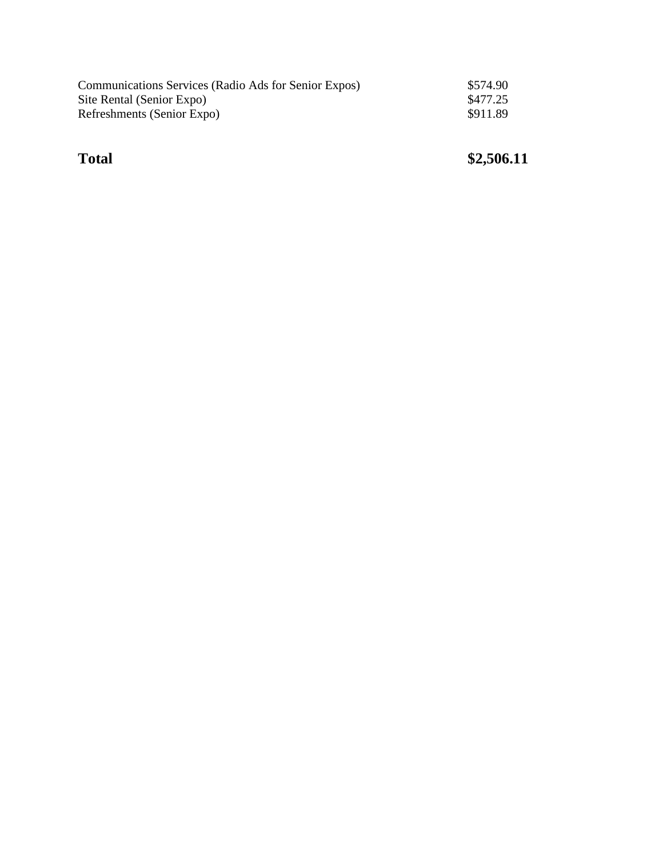| Communications Services (Radio Ads for Senior Expos) | \$574.90 |
|------------------------------------------------------|----------|
| Site Rental (Senior Expo)                            | \$477.25 |
| Refreshments (Senior Expo)                           | \$911.89 |

### **Total** \$2,506.11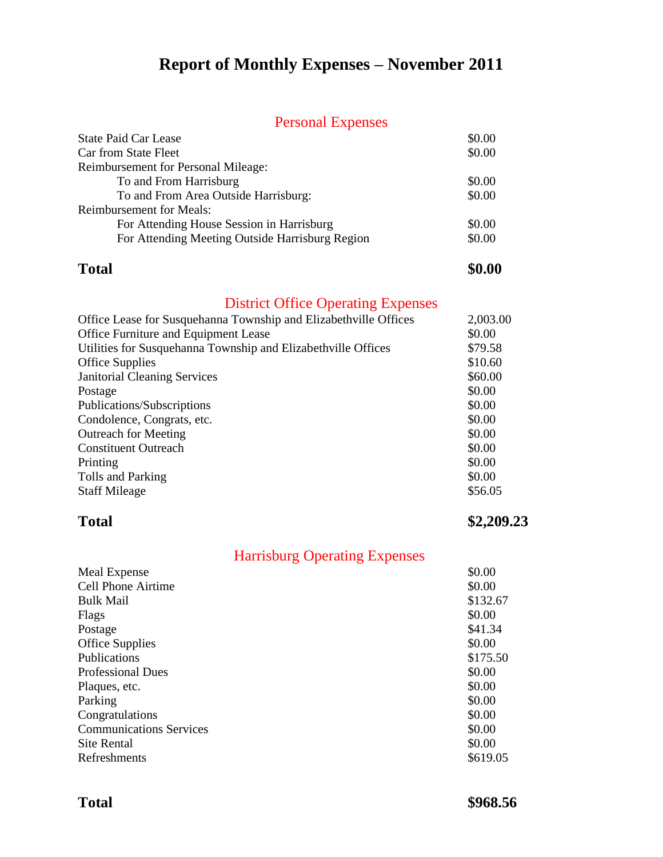# **Report of Monthly Expenses – November 2011**

### Personal Expenses

| <b>State Paid Car Lease</b>                     | \$0.00 |
|-------------------------------------------------|--------|
| Car from State Fleet                            | \$0.00 |
| <b>Reimbursement for Personal Mileage:</b>      |        |
| To and From Harrisburg                          | \$0.00 |
| To and From Area Outside Harrisburg:            | \$0.00 |
| <b>Reimbursement for Meals:</b>                 |        |
| For Attending House Session in Harrisburg       | \$0.00 |
| For Attending Meeting Outside Harrisburg Region | \$0.00 |
|                                                 |        |

### **Total \$0.00**

### District Office Operating Expenses

| Office Lease for Susquehanna Township and Elizabethville Offices | 2,003.00 |
|------------------------------------------------------------------|----------|
| Office Furniture and Equipment Lease                             | \$0.00   |
| Utilities for Susquehanna Township and Elizabethville Offices    | \$79.58  |
| <b>Office Supplies</b>                                           | \$10.60  |
| <b>Janitorial Cleaning Services</b>                              | \$60.00  |
| Postage                                                          | \$0.00   |
| Publications/Subscriptions                                       | \$0.00   |
| Condolence, Congrats, etc.                                       | \$0.00   |
| <b>Outreach for Meeting</b>                                      | \$0.00   |
| <b>Constituent Outreach</b>                                      | \$0.00   |
| Printing                                                         | \$0.00   |
| Tolls and Parking                                                | \$0.00   |
| <b>Staff Mileage</b>                                             | \$56.05  |

**Total \$2,209.23**

|                                | <b>Harrisburg Operating Expenses</b> |
|--------------------------------|--------------------------------------|
| Meal Expense                   | \$0.00                               |
| <b>Cell Phone Airtime</b>      | \$0.00                               |
| <b>Bulk Mail</b>               | \$132.67                             |
| Flags                          | \$0.00                               |
| Postage                        | \$41.34                              |
| <b>Office Supplies</b>         | \$0.00                               |
| Publications                   | \$175.50                             |
| <b>Professional Dues</b>       | \$0.00                               |
| Plaques, etc.                  | \$0.00                               |
| Parking                        | \$0.00                               |
| Congratulations                | \$0.00                               |
| <b>Communications Services</b> | \$0.00                               |
| <b>Site Rental</b>             | \$0.00                               |
| Refreshments                   | \$619.05                             |